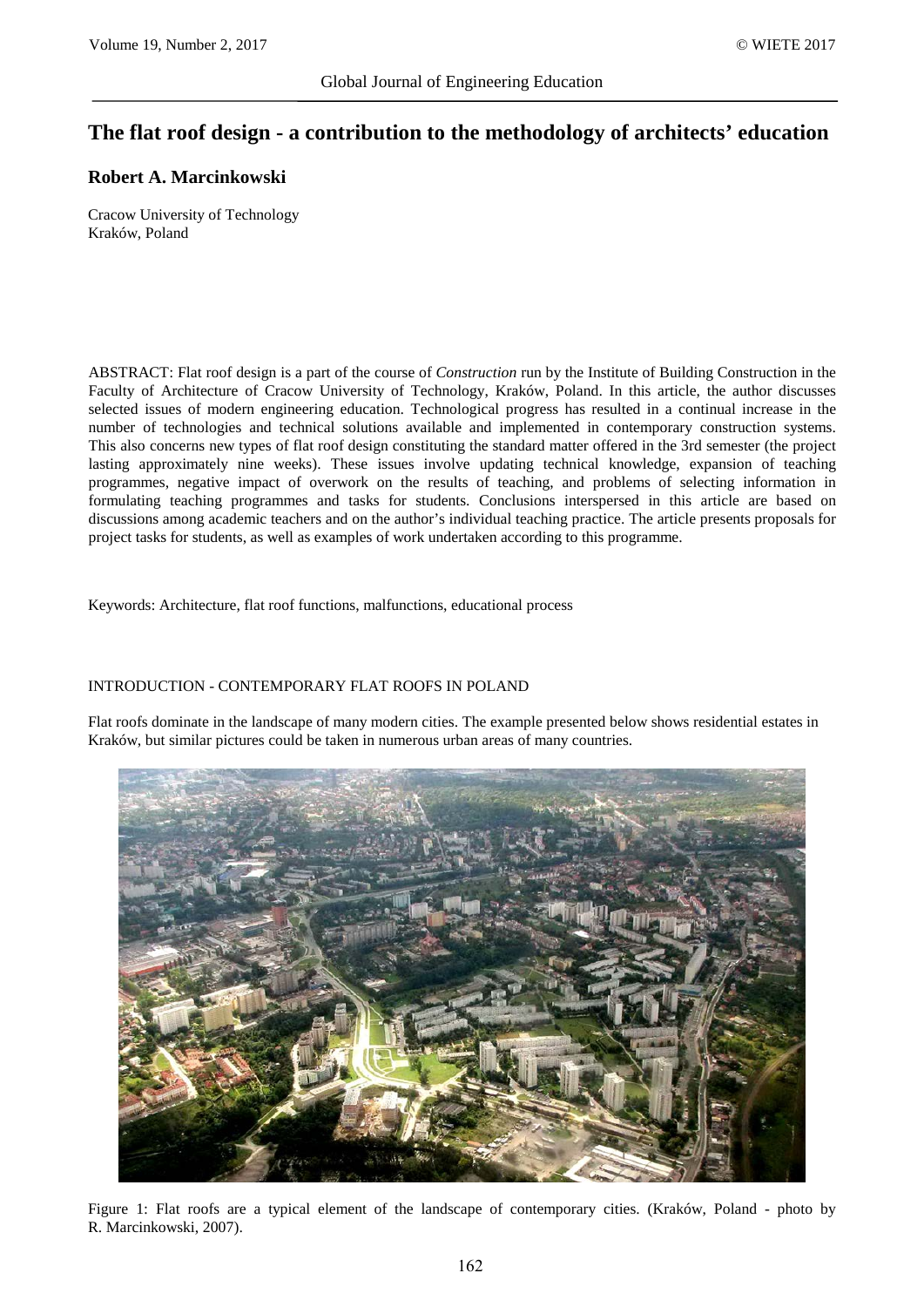# **The flat roof design - a contribution to the methodology of architects' education**

# **Robert A. Marcinkowski**

Cracow University of Technology Kraków, Poland

ABSTRACT: Flat roof design is a part of the course of *Construction* run by the Institute of Building Construction in the Faculty of Architecture of Cracow University of Technology, Kraków, Poland. In this article, the author discusses selected issues of modern engineering education. Technological progress has resulted in a continual increase in the number of technologies and technical solutions available and implemented in contemporary construction systems. This also concerns new types of flat roof design constituting the standard matter offered in the 3rd semester (the project lasting approximately nine weeks). These issues involve updating technical knowledge, expansion of teaching programmes, negative impact of overwork on the results of teaching, and problems of selecting information in formulating teaching programmes and tasks for students. Conclusions interspersed in this article are based on discussions among academic teachers and on the author's individual teaching practice. The article presents proposals for project tasks for students, as well as examples of work undertaken according to this programme.

Keywords: Architecture, flat roof functions, malfunctions, educational process

#### INTRODUCTION - CONTEMPORARY FLAT ROOFS IN POLAND

Flat roofs dominate in the landscape of many modern cities. The example presented below shows residential estates in Kraków, but similar pictures could be taken in numerous urban areas of many countries.



Figure 1: Flat roofs are a typical element of the landscape of contemporary cities. (Kraków, Poland - photo by R. Marcinkowski, 2007).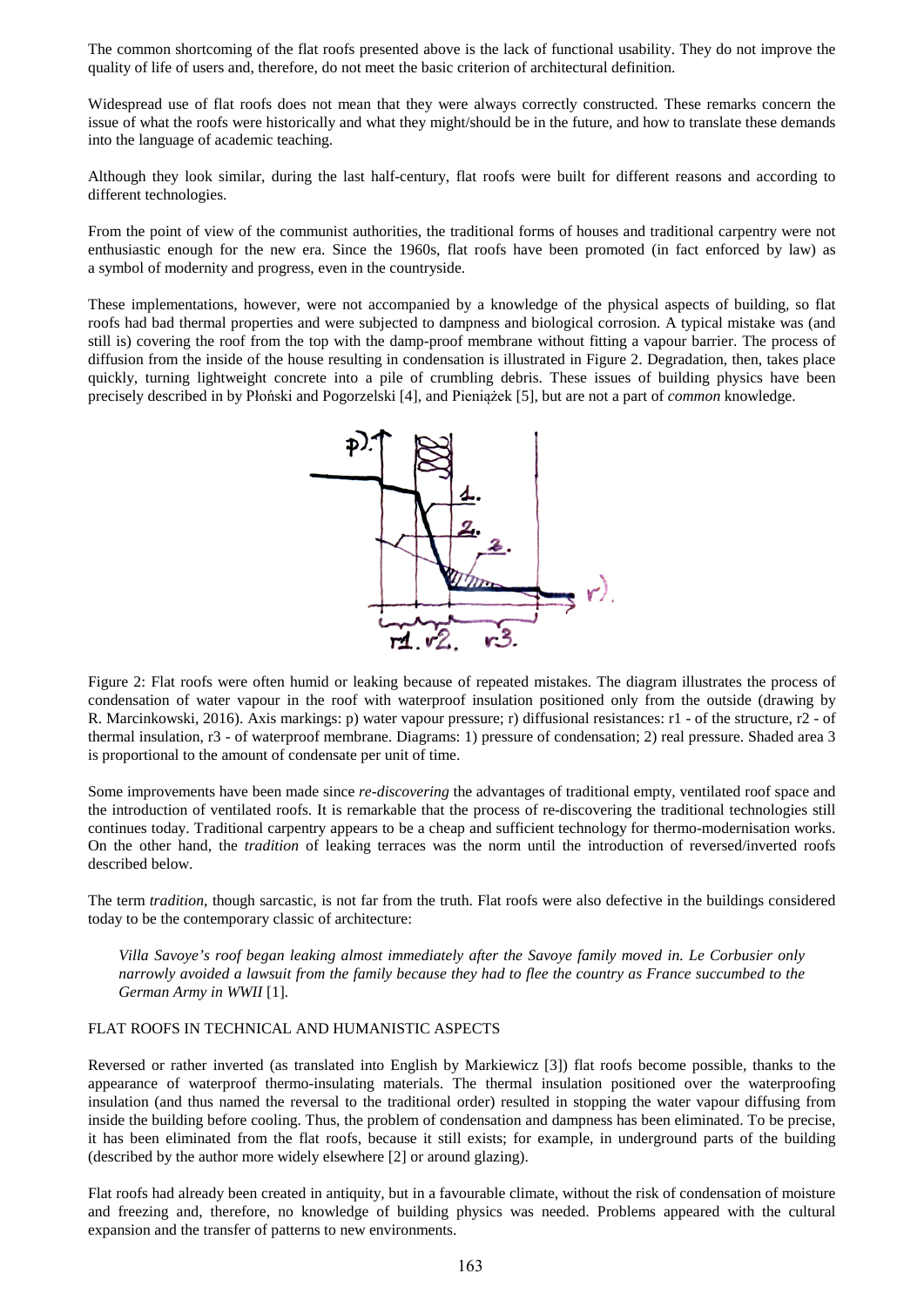The common shortcoming of the flat roofs presented above is the lack of functional usability. They do not improve the quality of life of users and, therefore, do not meet the basic criterion of architectural definition.

Widespread use of flat roofs does not mean that they were always correctly constructed. These remarks concern the issue of what the roofs were historically and what they might/should be in the future, and how to translate these demands into the language of academic teaching.

Although they look similar, during the last half-century, flat roofs were built for different reasons and according to different technologies.

From the point of view of the communist authorities, the traditional forms of houses and traditional carpentry were not enthusiastic enough for the new era. Since the 1960s, flat roofs have been promoted (in fact enforced by law) as a symbol of modernity and progress, even in the countryside.

These implementations, however, were not accompanied by a knowledge of the physical aspects of building, so flat roofs had bad thermal properties and were subjected to dampness and biological corrosion. A typical mistake was (and still is) covering the roof from the top with the damp-proof membrane without fitting a vapour barrier. The process of diffusion from the inside of the house resulting in condensation is illustrated in Figure 2. Degradation, then, takes place quickly, turning lightweight concrete into a pile of crumbling debris. These issues of building physics have been precisely described in by Płoński and Pogorzelski [4], and Pieniążek [5], but are not a part of *common* knowledge.



Figure 2: Flat roofs were often humid or leaking because of repeated mistakes. The diagram illustrates the process of condensation of water vapour in the roof with waterproof insulation positioned only from the outside (drawing by R. Marcinkowski, 2016). Axis markings: p) water vapour pressure; r) diffusional resistances: r1 - of the structure, r2 - of thermal insulation, r3 - of waterproof membrane. Diagrams: 1) pressure of condensation; 2) real pressure. Shaded area 3 is proportional to the amount of condensate per unit of time.

Some improvements have been made since *re-discovering* the advantages of traditional empty, ventilated roof space and the introduction of ventilated roofs. It is remarkable that the process of re-discovering the traditional technologies still continues today. Traditional carpentry appears to be a cheap and sufficient technology for thermo-modernisation works. On the other hand, the *tradition* of leaking terraces was the norm until the introduction of reversed/inverted roofs described below.

The term *tradition*, though sarcastic, is not far from the truth. Flat roofs were also defective in the buildings considered today to be the contemporary classic of architecture:

*Villa Savoye's roof began leaking almost immediately after the Savoye family moved in. Le Corbusier only narrowly avoided a lawsuit from the family because they had to flee the country as France succumbed to the German Army in WWII* [1].

## FLAT ROOFS IN TECHNICAL AND HUMANISTIC ASPECTS

Reversed or rather inverted (as translated into English by Markiewicz [3]) flat roofs become possible, thanks to the appearance of waterproof thermo-insulating materials. The thermal insulation positioned over the waterproofing insulation (and thus named the reversal to the traditional order) resulted in stopping the water vapour diffusing from inside the building before cooling. Thus, the problem of condensation and dampness has been eliminated. To be precise, it has been eliminated from the flat roofs, because it still exists; for example, in underground parts of the building (described by the author more widely elsewhere [2] or around glazing).

Flat roofs had already been created in antiquity, but in a favourable climate, without the risk of condensation of moisture and freezing and, therefore, no knowledge of building physics was needed. Problems appeared with the cultural expansion and the transfer of patterns to new environments.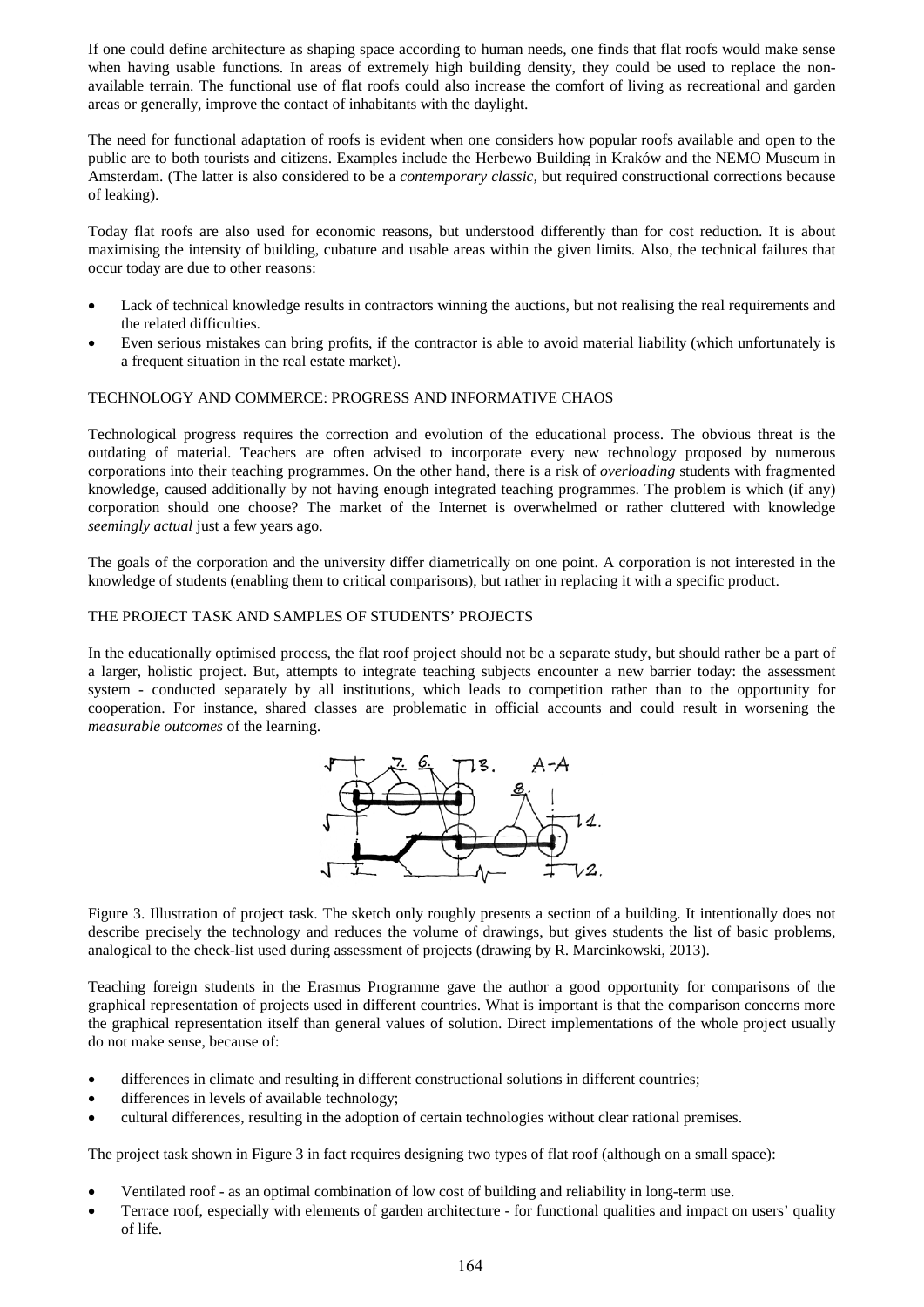If one could define architecture as shaping space according to human needs, one finds that flat roofs would make sense when having usable functions. In areas of extremely high building density, they could be used to replace the nonavailable terrain. The functional use of flat roofs could also increase the comfort of living as recreational and garden areas or generally, improve the contact of inhabitants with the daylight.

The need for functional adaptation of roofs is evident when one considers how popular roofs available and open to the public are to both tourists and citizens. Examples include the Herbewo Building in Kraków and the NEMO Museum in Amsterdam. (The latter is also considered to be a *contemporary classic,* but required constructional corrections because of leaking).

Today flat roofs are also used for economic reasons, but understood differently than for cost reduction. It is about maximising the intensity of building, cubature and usable areas within the given limits. Also, the technical failures that occur today are due to other reasons:

- Lack of technical knowledge results in contractors winning the auctions, but not realising the real requirements and the related difficulties.
- Even serious mistakes can bring profits, if the contractor is able to avoid material liability (which unfortunately is a frequent situation in the real estate market).

## TECHNOLOGY AND COMMERCE: PROGRESS AND INFORMATIVE CHAOS

Technological progress requires the correction and evolution of the educational process. The obvious threat is the outdating of material. Teachers are often advised to incorporate every new technology proposed by numerous corporations into their teaching programmes. On the other hand, there is a risk of *overloading* students with fragmented knowledge, caused additionally by not having enough integrated teaching programmes. The problem is which (if any) corporation should one choose? The market of the Internet is overwhelmed or rather cluttered with knowledge *seemingly actual* just a few years ago.

The goals of the corporation and the university differ diametrically on one point. A corporation is not interested in the knowledge of students (enabling them to critical comparisons), but rather in replacing it with a specific product.

## THE PROJECT TASK AND SAMPLES OF STUDENTS' PROJECTS

In the educationally optimised process, the flat roof project should not be a separate study, but should rather be a part of a larger, holistic project. But, attempts to integrate teaching subjects encounter a new barrier today: the assessment system - conducted separately by all institutions, which leads to competition rather than to the opportunity for cooperation. For instance, shared classes are problematic in official accounts and could result in worsening the *measurable outcomes* of the learning.



Figure 3. Illustration of project task. The sketch only roughly presents a section of a building. It intentionally does not describe precisely the technology and reduces the volume of drawings, but gives students the list of basic problems, analogical to the check-list used during assessment of projects (drawing by R. Marcinkowski, 2013).

Teaching foreign students in the Erasmus Programme gave the author a good opportunity for comparisons of the graphical representation of projects used in different countries. What is important is that the comparison concerns more the graphical representation itself than general values of solution. Direct implementations of the whole project usually do not make sense, because of:

- differences in climate and resulting in different constructional solutions in different countries;
- differences in levels of available technology;
- cultural differences, resulting in the adoption of certain technologies without clear rational premises.

The project task shown in Figure 3 in fact requires designing two types of flat roof (although on a small space):

- Ventilated roof as an optimal combination of low cost of building and reliability in long-term use.
- Terrace roof, especially with elements of garden architecture for functional qualities and impact on users' quality of life.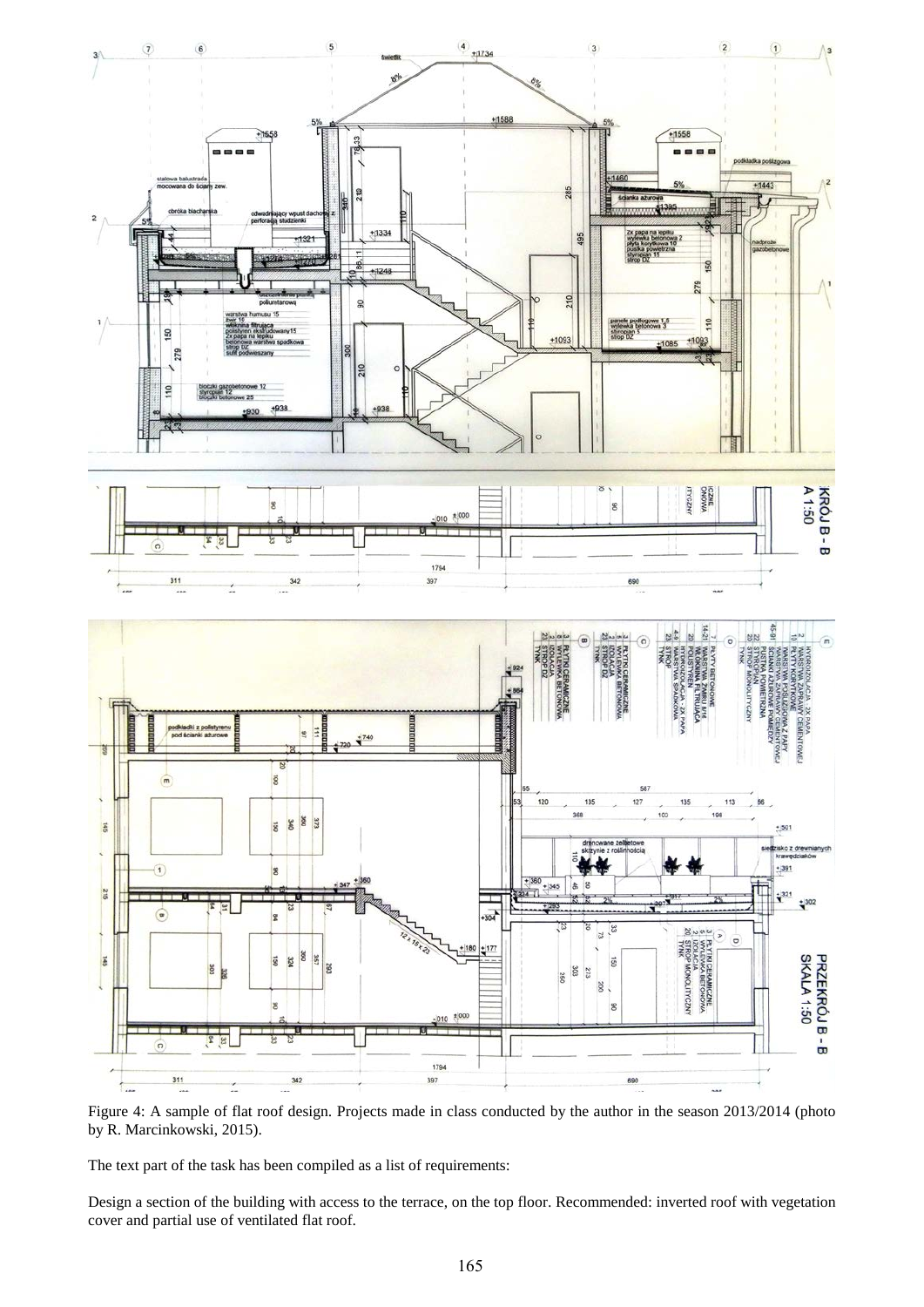

Figure 4: A sample of flat roof design. Projects made in class conducted by the author in the season 2013/2014 (photo by R. Marcinkowski, 2015).

The text part of the task has been compiled as a list of requirements:

Design a section of the building with access to the terrace, on the top floor. Recommended: inverted roof with vegetation cover and partial use of ventilated flat roof.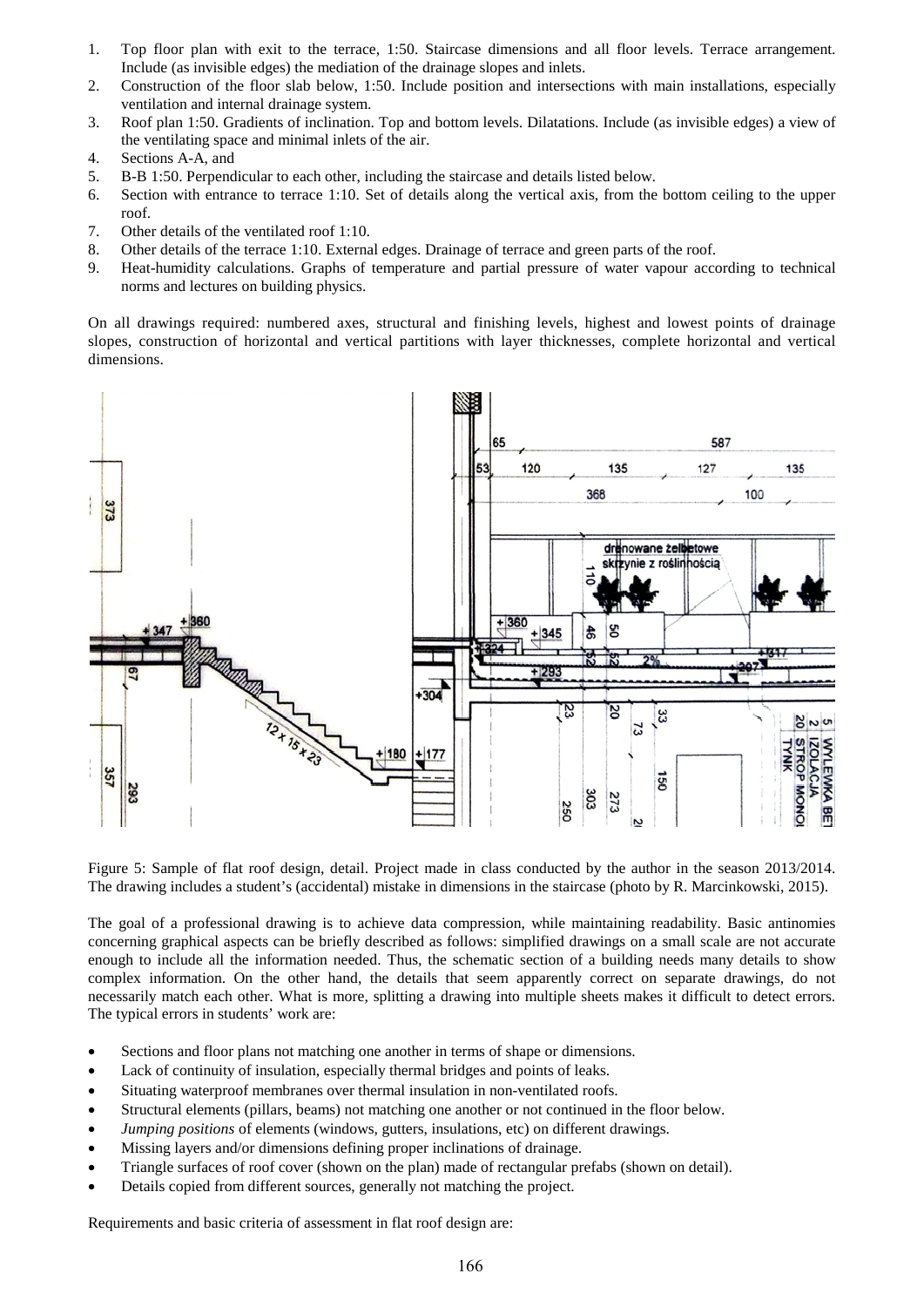- 1. Top floor plan with exit to the terrace, 1:50. Staircase dimensions and all floor levels. Terrace arrangement. Include (as invisible edges) the mediation of the drainage slopes and inlets.
- 2. Construction of the floor slab below, 1:50. Include position and intersections with main installations, especially ventilation and internal drainage system.
- 3. Roof plan 1:50. Gradients of inclination. Top and bottom levels. Dilatations. Include (as invisible edges) a view of the ventilating space and minimal inlets of the air.
- 4. Sections A-A, and
- 5. B-B 1:50. Perpendicular to each other, including the staircase and details listed below.
- 6. Section with entrance to terrace 1:10. Set of details along the vertical axis, from the bottom ceiling to the upper roof.
- 7. Other details of the ventilated roof 1:10.
- 8. Other details of the terrace 1:10. External edges. Drainage of terrace and green parts of the roof.
- 9. Heat-humidity calculations. Graphs of temperature and partial pressure of water vapour according to technical norms and lectures on building physics.

On all drawings required: numbered axes, structural and finishing levels, highest and lowest points of drainage slopes, construction of horizontal and vertical partitions with layer thicknesses, complete horizontal and vertical dimensions.



Figure 5: Sample of flat roof design, detail. Project made in class conducted by the author in the season 2013/2014. The drawing includes a student's (accidental) mistake in dimensions in the staircase (photo by R. Marcinkowski, 2015).

The goal of a professional drawing is to achieve data compression, while maintaining readability. Basic antinomies concerning graphical aspects can be briefly described as follows: simplified drawings on a small scale are not accurate enough to include all the information needed. Thus, the schematic section of a building needs many details to show complex information. On the other hand, the details that seem apparently correct on separate drawings, do not necessarily match each other. What is more, splitting a drawing into multiple sheets makes it difficult to detect errors. The typical errors in students' work are:

- Sections and floor plans not matching one another in terms of shape or dimensions.
- Lack of continuity of insulation, especially thermal bridges and points of leaks.
- Situating waterproof membranes over thermal insulation in non-ventilated roofs.
- Structural elements (pillars, beams) not matching one another or not continued in the floor below.
- *Jumping positions* of elements (windows, gutters, insulations, etc) on different drawings.
- Missing layers and/or dimensions defining proper inclinations of drainage.
- Triangle surfaces of roof cover (shown on the plan) made of rectangular prefabs (shown on detail).
- Details copied from different sources, generally not matching the project.

Requirements and basic criteria of assessment in flat roof design are: